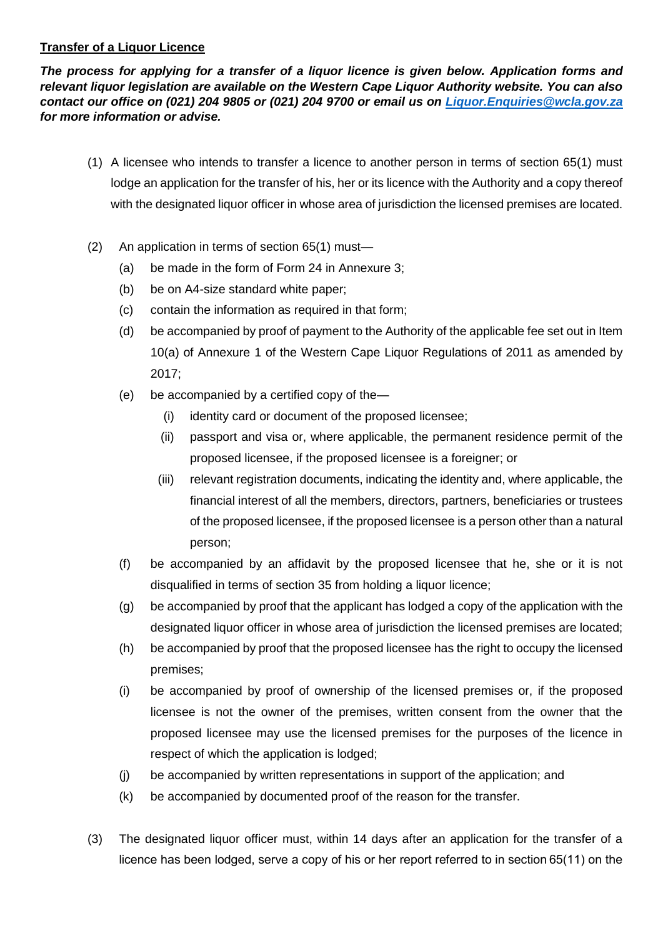## **Transfer of a Liquor Licence**

*The process for applying for a transfer of a liquor licence is given below. Application forms and relevant liquor legislation are available on the Western Cape Liquor Authority website. You can also contact our office on (021) 204 9805 or (021) 204 9700 or email us on [Liquor.Enquiries@wcla.gov.za](mailto:Liquor.Enquiries@wcla.gov.za) for more information or advise.* 

- (1) A licensee who intends to transfer a licence to another person in terms of section 65(1) must lodge an application for the transfer of his, her or its licence with the Authority and a copy thereof with the designated liquor officer in whose area of jurisdiction the licensed premises are located.
- (2) An application in terms of section 65(1) must—
	- (a) be made in the form of Form 24 in Annexure 3;
	- (b) be on A4-size standard white paper;
	- (c) contain the information as required in that form;
	- (d) be accompanied by proof of payment to the Authority of the applicable fee set out in Item 10(a) of Annexure 1 of the Western Cape Liquor Regulations of 2011 as amended by 2017;
	- (e) be accompanied by a certified copy of the—
		- (i) identity card or document of the proposed licensee;
		- (ii) passport and visa or, where applicable, the permanent residence permit of the proposed licensee, if the proposed licensee is a foreigner; or
		- (iii) relevant registration documents, indicating the identity and, where applicable, the financial interest of all the members, directors, partners, beneficiaries or trustees of the proposed licensee, if the proposed licensee is a person other than a natural person;
	- (f) be accompanied by an affidavit by the proposed licensee that he, she or it is not disqualified in terms of section 35 from holding a liquor licence;
	- (g) be accompanied by proof that the applicant has lodged a copy of the application with the designated liquor officer in whose area of jurisdiction the licensed premises are located;
	- (h) be accompanied by proof that the proposed licensee has the right to occupy the licensed premises;
	- (i) be accompanied by proof of ownership of the licensed premises or, if the proposed licensee is not the owner of the premises, written consent from the owner that the proposed licensee may use the licensed premises for the purposes of the licence in respect of which the application is lodged;
	- (j) be accompanied by written representations in support of the application; and
	- (k) be accompanied by documented proof of the reason for the transfer.
- (3) The designated liquor officer must, within 14 days after an application for the transfer of a licence has been lodged, serve a copy of his or her report referred to in section 65(11) on the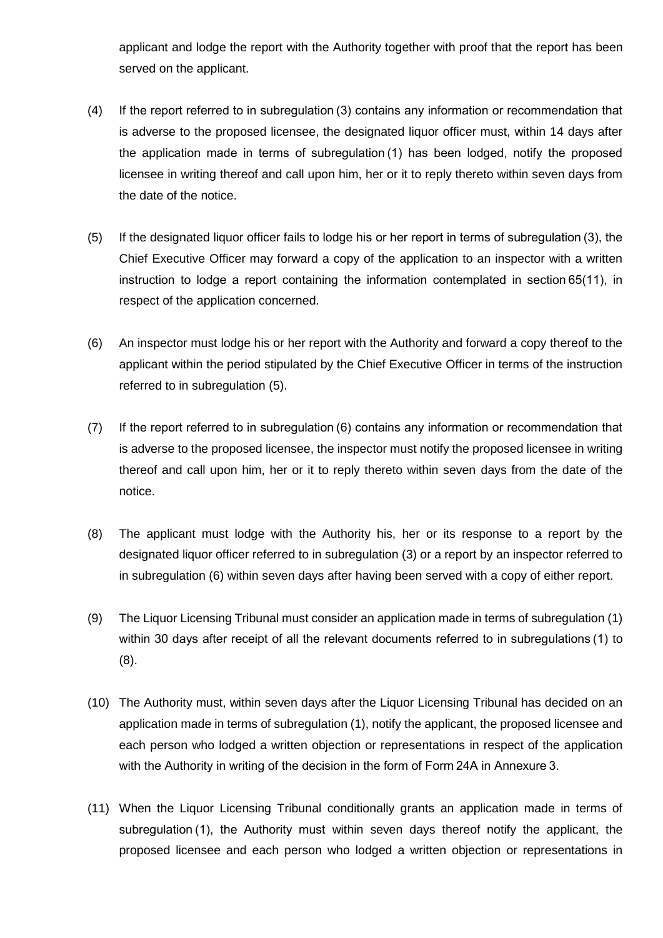applicant and lodge the report with the Authority together with proof that the report has been served on the applicant.

- (4) If the report referred to in subregulation (3) contains any information or recommendation that is adverse to the proposed licensee, the designated liquor officer must, within 14 days after the application made in terms of subregulation (1) has been lodged, notify the proposed licensee in writing thereof and call upon him, her or it to reply thereto within seven days from the date of the notice.
- (5) If the designated liquor officer fails to lodge his or her report in terms of subregulation (3), the Chief Executive Officer may forward a copy of the application to an inspector with a written instruction to lodge a report containing the information contemplated in section 65(11), in respect of the application concerned.
- (6) An inspector must lodge his or her report with the Authority and forward a copy thereof to the applicant within the period stipulated by the Chief Executive Officer in terms of the instruction referred to in subregulation (5).
- (7) If the report referred to in subregulation (6) contains any information or recommendation that is adverse to the proposed licensee, the inspector must notify the proposed licensee in writing thereof and call upon him, her or it to reply thereto within seven days from the date of the notice.
- (8) The applicant must lodge with the Authority his, her or its response to a report by the designated liquor officer referred to in subregulation (3) or a report by an inspector referred to in subregulation (6) within seven days after having been served with a copy of either report.
- (9) The Liquor Licensing Tribunal must consider an application made in terms of subregulation (1) within 30 days after receipt of all the relevant documents referred to in subregulations (1) to (8).
- (10) The Authority must, within seven days after the Liquor Licensing Tribunal has decided on an application made in terms of subregulation (1), notify the applicant, the proposed licensee and each person who lodged a written objection or representations in respect of the application with the Authority in writing of the decision in the form of Form 24A in Annexure 3.
- (11) When the Liquor Licensing Tribunal conditionally grants an application made in terms of subregulation (1), the Authority must within seven days thereof notify the applicant, the proposed licensee and each person who lodged a written objection or representations in